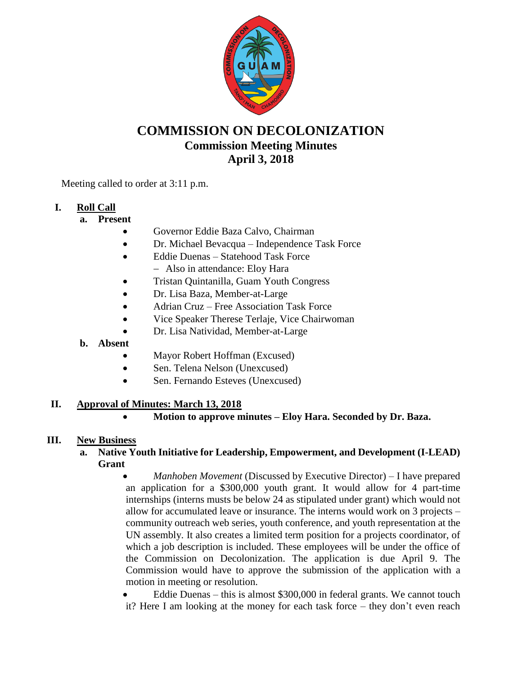

# **COMMISSION ON DECOLONIZATION Commission Meeting Minutes April 3, 2018**

Meeting called to order at 3:11 p.m.

### **I. Roll Call**

- **a. Present**
	- Governor Eddie Baza Calvo, Chairman
	- Dr. Michael Bevacqua Independence Task Force
	- Eddie Duenas Statehood Task Force Also in attendance: Eloy Hara
	- Tristan Quintanilla, Guam Youth Congress
	- Dr. Lisa Baza, Member-at-Large
	- Adrian Cruz Free Association Task Force
	- Vice Speaker Therese Terlaje, Vice Chairwoman
	- Dr. Lisa Natividad, Member-at-Large

#### **b. Absent**

- Mayor Robert Hoffman (Excused)
- Sen. Telena Nelson (Unexcused)
- Sen. Fernando Esteves (Unexcused)

#### **II. Approval of Minutes: March 13, 2018**

**Motion to approve minutes – Eloy Hara. Seconded by Dr. Baza.**

#### **III. New Business**

#### **a. Native Youth Initiative for Leadership, Empowerment, and Development (I-LEAD) Grant**

 *Manhoben Movement* (Discussed by Executive Director) – I have prepared an application for a \$300,000 youth grant. It would allow for 4 part-time internships (interns musts be below 24 as stipulated under grant) which would not allow for accumulated leave or insurance. The interns would work on 3 projects – community outreach web series, youth conference, and youth representation at the UN assembly. It also creates a limited term position for a projects coordinator, of which a job description is included. These employees will be under the office of the Commission on Decolonization. The application is due April 9. The Commission would have to approve the submission of the application with a motion in meeting or resolution.

 Eddie Duenas – this is almost \$300,000 in federal grants. We cannot touch it? Here I am looking at the money for each task force – they don't even reach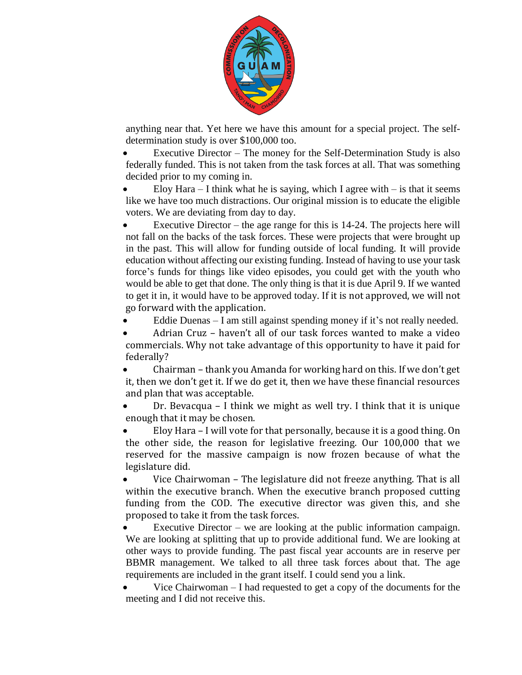

anything near that. Yet here we have this amount for a special project. The selfdetermination study is over \$100,000 too.

 Executive Director – The money for the Self-Determination Study is also federally funded. This is not taken from the task forces at all. That was something decided prior to my coming in.

Eloy Hara – I think what he is saying, which I agree with  $-$  is that it seems like we have too much distractions. Our original mission is to educate the eligible voters. We are deviating from day to day.

 Executive Director – the age range for this is 14-24. The projects here will not fall on the backs of the task forces. These were projects that were brought up in the past. This will allow for funding outside of local funding. It will provide education without affecting our existing funding. Instead of having to use your task force's funds for things like video episodes, you could get with the youth who would be able to get that done. The only thing is that it is due April 9. If we wanted to get it in, it would have to be approved today. If it is not approved, we will not go forward with the application.

Eddie Duenas – I am still against spending money if it's not really needed.

 Adrian Cruz – haven't all of our task forces wanted to make a video commercials. Why not take advantage of this opportunity to have it paid for federally?

 Chairman – thank you Amanda for working hard on this. If we don't get it, then we don't get it. If we do get it, then we have these financial resources and plan that was acceptable.

 Dr. Bevacqua – I think we might as well try. I think that it is unique enough that it may be chosen.

 Eloy Hara – I will vote for that personally, because it is a good thing. On the other side, the reason for legislative freezing. Our 100,000 that we reserved for the massive campaign is now frozen because of what the legislature did.

 Vice Chairwoman – The legislature did not freeze anything. That is all within the executive branch. When the executive branch proposed cutting funding from the COD. The executive director was given this, and she proposed to take it from the task forces.

 Executive Director – we are looking at the public information campaign. We are looking at splitting that up to provide additional fund. We are looking at other ways to provide funding. The past fiscal year accounts are in reserve per BBMR management. We talked to all three task forces about that. The age requirements are included in the grant itself. I could send you a link.

 Vice Chairwoman – I had requested to get a copy of the documents for the meeting and I did not receive this.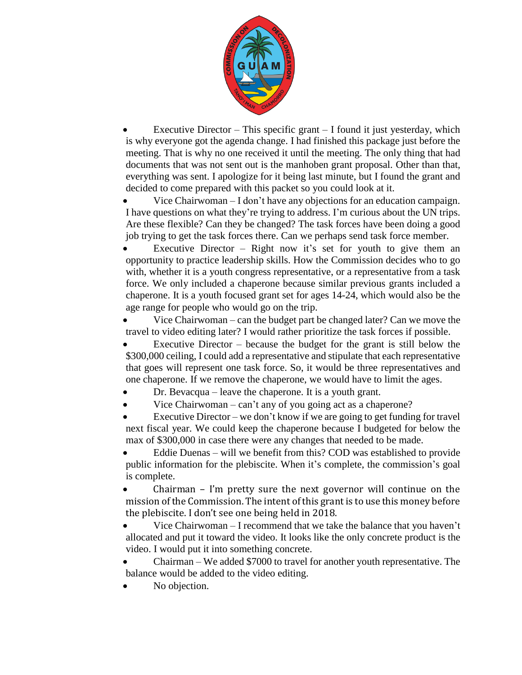

Executive Director – This specific grant – I found it just yesterday, which is why everyone got the agenda change. I had finished this package just before the meeting. That is why no one received it until the meeting. The only thing that had documents that was not sent out is the manhoben grant proposal. Other than that, everything was sent. I apologize for it being last minute, but I found the grant and decided to come prepared with this packet so you could look at it.

 Vice Chairwoman – I don't have any objections for an education campaign. I have questions on what they're trying to address. I'm curious about the UN trips. Are these flexible? Can they be changed? The task forces have been doing a good job trying to get the task forces there. Can we perhaps send task force member.

- Executive Director Right now it's set for youth to give them an opportunity to practice leadership skills. How the Commission decides who to go with, whether it is a youth congress representative, or a representative from a task force. We only included a chaperone because similar previous grants included a chaperone. It is a youth focused grant set for ages 14-24, which would also be the age range for people who would go on the trip.
- Vice Chairwoman can the budget part be changed later? Can we move the travel to video editing later? I would rather prioritize the task forces if possible.
- Executive Director because the budget for the grant is still below the \$300,000 ceiling, I could add a representative and stipulate that each representative that goes will represent one task force. So, it would be three representatives and one chaperone. If we remove the chaperone, we would have to limit the ages.
- Dr. Bevacqua leave the chaperone. It is a youth grant.
- Vice Chairwoman can't any of you going act as a chaperone?

 Executive Director – we don't know if we are going to get funding for travel next fiscal year. We could keep the chaperone because I budgeted for below the max of \$300,000 in case there were any changes that needed to be made.

 Eddie Duenas – will we benefit from this? COD was established to provide public information for the plebiscite. When it's complete, the commission's goal is complete.

- Chairman I'm pretty sure the next governor will continue on the mission of the Commission. The intent of this grant is to use this money before the plebiscite. I don't see one being held in 2018.
- Vice Chairwoman I recommend that we take the balance that you haven't allocated and put it toward the video. It looks like the only concrete product is the video. I would put it into something concrete.
- Chairman We added \$7000 to travel for another youth representative. The balance would be added to the video editing.
- No objection.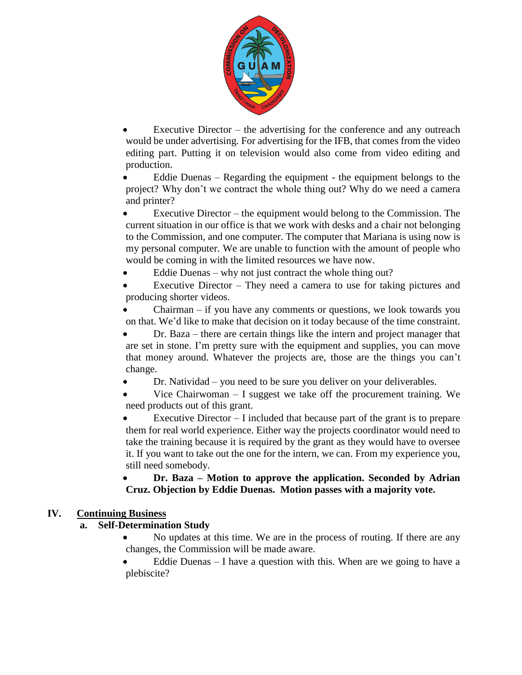

 Executive Director – the advertising for the conference and any outreach would be under advertising. For advertising for the IFB, that comes from the video editing part. Putting it on television would also come from video editing and production.

 Eddie Duenas – Regarding the equipment - the equipment belongs to the project? Why don't we contract the whole thing out? Why do we need a camera and printer?

 Executive Director – the equipment would belong to the Commission. The current situation in our office is that we work with desks and a chair not belonging to the Commission, and one computer. The computer that Mariana is using now is my personal computer. We are unable to function with the amount of people who would be coming in with the limited resources we have now.

- Eddie Duenas why not just contract the whole thing out?
- Executive Director They need a camera to use for taking pictures and producing shorter videos.

 Chairman – if you have any comments or questions, we look towards you on that. We'd like to make that decision on it today because of the time constraint.

 Dr. Baza – there are certain things like the intern and project manager that are set in stone. I'm pretty sure with the equipment and supplies, you can move that money around. Whatever the projects are, those are the things you can't change.

Dr. Natividad – you need to be sure you deliver on your deliverables.

 Vice Chairwoman – I suggest we take off the procurement training. We need products out of this grant.

 Executive Director – I included that because part of the grant is to prepare them for real world experience. Either way the projects coordinator would need to take the training because it is required by the grant as they would have to oversee it. If you want to take out the one for the intern, we can. From my experience you, still need somebody.

 **Dr. Baza – Motion to approve the application. Seconded by Adrian Cruz. Objection by Eddie Duenas. Motion passes with a majority vote.**

#### **IV. Continuing Business**

#### **a. Self-Determination Study**

- No updates at this time. We are in the process of routing. If there are any changes, the Commission will be made aware.
- Eddie Duenas I have a question with this. When are we going to have a plebiscite?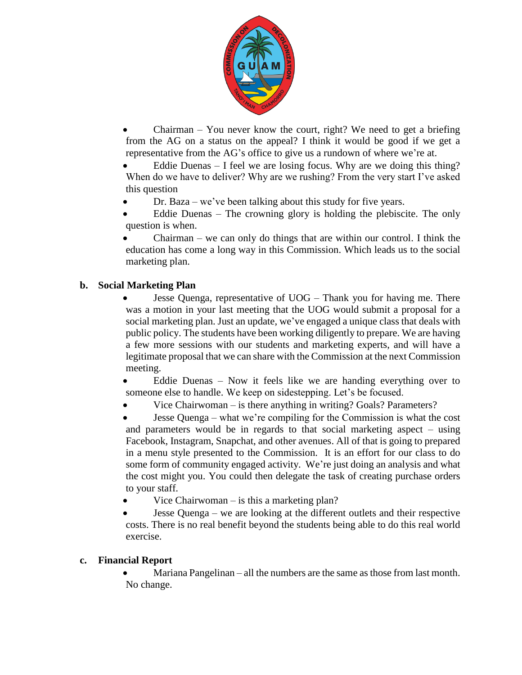

 Chairman – You never know the court, right? We need to get a briefing from the AG on a status on the appeal? I think it would be good if we get a representative from the AG's office to give us a rundown of where we're at.

 Eddie Duenas – I feel we are losing focus. Why are we doing this thing? When do we have to deliver? Why are we rushing? From the very start I've asked this question

- Dr. Baza we've been talking about this study for five years.
- Eddie Duenas The crowning glory is holding the plebiscite. The only question is when.

 Chairman – we can only do things that are within our control. I think the education has come a long way in this Commission. Which leads us to the social marketing plan.

#### **b. Social Marketing Plan**

- Jesse Quenga, representative of UOG Thank you for having me. There was a motion in your last meeting that the UOG would submit a proposal for a social marketing plan. Just an update, we've engaged a unique class that deals with public policy. The students have been working diligently to prepare. We are having a few more sessions with our students and marketing experts, and will have a legitimate proposal that we can share with the Commission at the next Commission meeting.
- Eddie Duenas Now it feels like we are handing everything over to someone else to handle. We keep on sidestepping. Let's be focused.
- Vice Chairwoman is there anything in writing? Goals? Parameters?

 Jesse Quenga – what we're compiling for the Commission is what the cost and parameters would be in regards to that social marketing aspect – using Facebook, Instagram, Snapchat, and other avenues. All of that is going to prepared in a menu style presented to the Commission. It is an effort for our class to do some form of community engaged activity. We're just doing an analysis and what the cost might you. You could then delegate the task of creating purchase orders to your staff.

- Vice Chairwoman is this a marketing plan?
- Jesse Quenga we are looking at the different outlets and their respective costs. There is no real benefit beyond the students being able to do this real world exercise.

#### **c. Financial Report**

 Mariana Pangelinan – all the numbers are the same as those from last month. No change.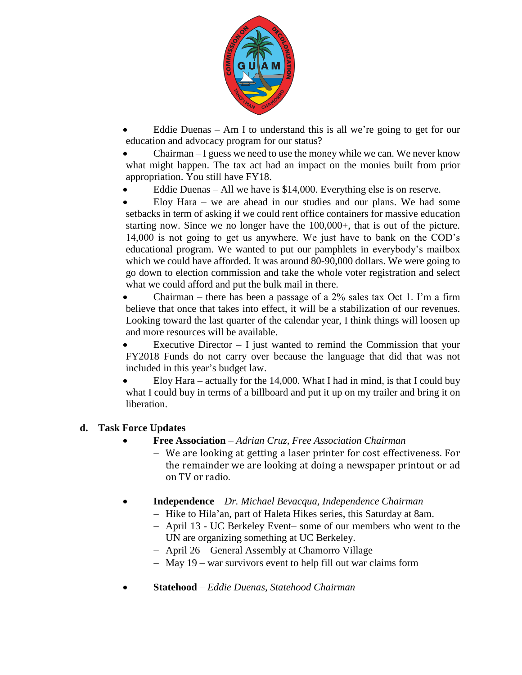

 Eddie Duenas – Am I to understand this is all we're going to get for our education and advocacy program for our status?

 Chairman – I guess we need to use the money while we can. We never know what might happen. The tax act had an impact on the monies built from prior appropriation. You still have FY18.

Eddie Duenas – All we have is \$14,000. Everything else is on reserve.

 Eloy Hara – we are ahead in our studies and our plans. We had some setbacks in term of asking if we could rent office containers for massive education starting now. Since we no longer have the 100,000+, that is out of the picture. 14,000 is not going to get us anywhere. We just have to bank on the COD's educational program. We wanted to put our pamphlets in everybody's mailbox which we could have afforded. It was around 80-90,000 dollars. We were going to go down to election commission and take the whole voter registration and select what we could afford and put the bulk mail in there.

 Chairman – there has been a passage of a 2% sales tax Oct 1. I'm a firm believe that once that takes into effect, it will be a stabilization of our revenues. Looking toward the last quarter of the calendar year, I think things will loosen up and more resources will be available.

Executive Director  $-$  I just wanted to remind the Commission that your FY2018 Funds do not carry over because the language that did that was not included in this year's budget law.

 Eloy Hara – actually for the 14,000. What I had in mind, is that I could buy what I could buy in terms of a billboard and put it up on my trailer and bring it on liberation.

#### **d. Task Force Updates**

- **Free Association** *Adrian Cruz, Free Association Chairman*
	- We are looking at getting a laser printer for cost effectiveness. For the remainder we are looking at doing a newspaper printout or ad on TV or radio.
- **Independence** *Dr. Michael Bevacqua, Independence Chairman*
	- Hike to Hila'an, part of Haleta Hikes series, this Saturday at 8am.
	- April 13 UC Berkeley Event– some of our members who went to the UN are organizing something at UC Berkeley.
	- April 26 General Assembly at Chamorro Village
	- May 19 war survivors event to help fill out war claims form
- **Statehood** *Eddie Duenas, Statehood Chairman*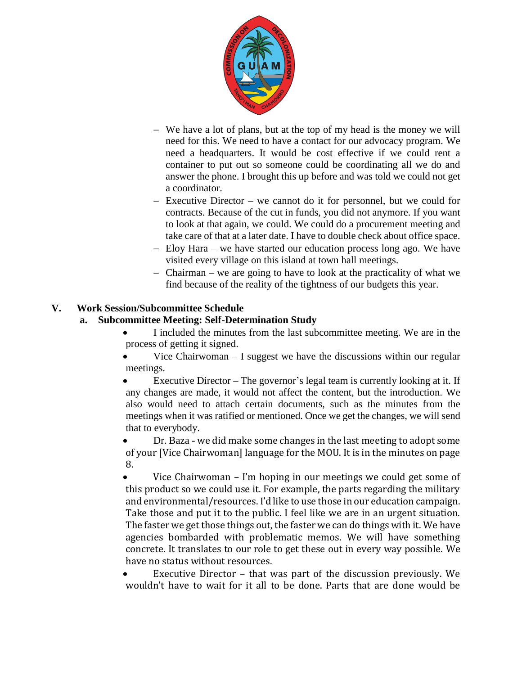

- We have a lot of plans, but at the top of my head is the money we will need for this. We need to have a contact for our advocacy program. We need a headquarters. It would be cost effective if we could rent a container to put out so someone could be coordinating all we do and answer the phone. I brought this up before and was told we could not get a coordinator.
- Executive Director we cannot do it for personnel, but we could for contracts. Because of the cut in funds, you did not anymore. If you want to look at that again, we could. We could do a procurement meeting and take care of that at a later date. I have to double check about office space.
- Eloy Hara we have started our education process long ago. We have visited every village on this island at town hall meetings.
- Chairman we are going to have to look at the practicality of what we find because of the reality of the tightness of our budgets this year.

## **V. Work Session/Subcommittee Schedule**

## **a. Subcommittee Meeting: Self-Determination Study**

- I included the minutes from the last subcommittee meeting. We are in the process of getting it signed.
- Vice Chairwoman I suggest we have the discussions within our regular meetings.

 Executive Director – The governor's legal team is currently looking at it. If any changes are made, it would not affect the content, but the introduction. We also would need to attach certain documents, such as the minutes from the meetings when it was ratified or mentioned. Once we get the changes, we will send that to everybody.

 Dr. Baza - we did make some changes in the last meeting to adopt some of your [Vice Chairwoman] language for the MOU. It is in the minutes on page 8.

 Vice Chairwoman – I'm hoping in our meetings we could get some of this product so we could use it. For example, the parts regarding the military and environmental/resources. I'd like to use those in our education campaign. Take those and put it to the public. I feel like we are in an urgent situation. The faster we get those things out, the faster we can do things with it. We have agencies bombarded with problematic memos. We will have something concrete. It translates to our role to get these out in every way possible. We have no status without resources.

 Executive Director – that was part of the discussion previously. We wouldn't have to wait for it all to be done. Parts that are done would be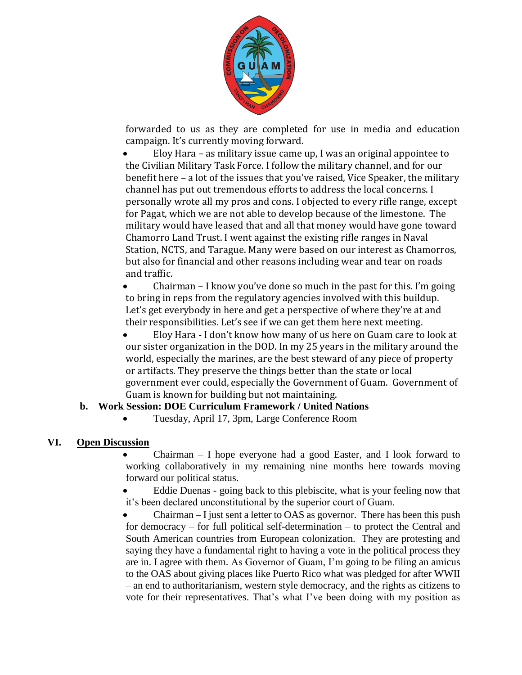

forwarded to us as they are completed for use in media and education campaign. It's currently moving forward.

 Eloy Hara – as military issue came up, I was an original appointee to the Civilian Military Task Force. I follow the military channel, and for our benefit here – a lot of the issues that you've raised, Vice Speaker, the military channel has put out tremendous efforts to address the local concerns. I personally wrote all my pros and cons. I objected to every rifle range, except for Pagat, which we are not able to develop because of the limestone. The military would have leased that and all that money would have gone toward Chamorro Land Trust. I went against the existing rifle ranges in Naval Station, NCTS, and Tarague. Many were based on our interest as Chamorros, but also for financial and other reasons including wear and tear on roads and traffic.

 Chairman – I know you've done so much in the past for this. I'm going to bring in reps from the regulatory agencies involved with this buildup. Let's get everybody in here and get a perspective of where they're at and their responsibilities. Let's see if we can get them here next meeting.

 Eloy Hara - I don't know how many of us here on Guam care to look at our sister organization in the DOD. In my 25 years in the military around the world, especially the marines, are the best steward of any piece of property or artifacts. They preserve the things better than the state or local government ever could, especially the Government of Guam. Government of Guam is known for building but not maintaining.

#### **b. Work Session: DOE Curriculum Framework / United Nations**

Tuesday, April 17, 3pm, Large Conference Room

#### **VI. Open Discussion**

- Chairman I hope everyone had a good Easter, and I look forward to working collaboratively in my remaining nine months here towards moving forward our political status.
- Eddie Duenas going back to this plebiscite, what is your feeling now that it's been declared unconstitutional by the superior court of Guam.

 Chairman – I just sent a letter to OAS as governor. There has been this push for democracy – for full political self-determination – to protect the Central and South American countries from European colonization. They are protesting and saying they have a fundamental right to having a vote in the political process they are in. I agree with them. As Governor of Guam, I'm going to be filing an amicus to the OAS about giving places like Puerto Rico what was pledged for after WWII – an end to authoritarianism, western style democracy, and the rights as citizens to vote for their representatives. That's what I've been doing with my position as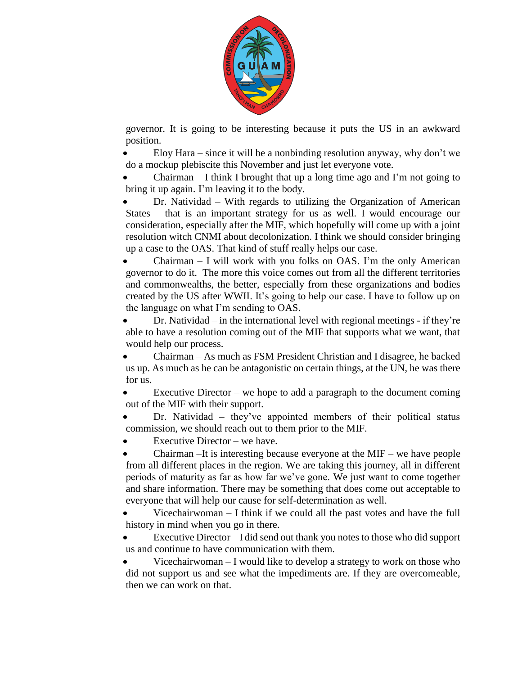

governor. It is going to be interesting because it puts the US in an awkward position.

- Eloy Hara since it will be a nonbinding resolution anyway, why don't we do a mockup plebiscite this November and just let everyone vote.
- Chairman  $-$  I think I brought that up a long time ago and I'm not going to bring it up again. I'm leaving it to the body.

 Dr. Natividad – With regards to utilizing the Organization of American States – that is an important strategy for us as well. I would encourage our consideration, especially after the MIF, which hopefully will come up with a joint resolution witch CNMI about decolonization. I think we should consider bringing up a case to the OAS. That kind of stuff really helps our case.

 Chairman – I will work with you folks on OAS. I'm the only American governor to do it. The more this voice comes out from all the different territories and commonwealths, the better, especially from these organizations and bodies created by the US after WWII. It's going to help our case. I have to follow up on the language on what I'm sending to OAS.

 Dr. Natividad – in the international level with regional meetings - if they're able to have a resolution coming out of the MIF that supports what we want, that would help our process.

 Chairman – As much as FSM President Christian and I disagree, he backed us up. As much as he can be antagonistic on certain things, at the UN, he was there for us.

Executive Director – we hope to add a paragraph to the document coming out of the MIF with their support.

 Dr. Natividad – they've appointed members of their political status commission, we should reach out to them prior to the MIF.

Executive Director – we have.

 Chairman –It is interesting because everyone at the MIF – we have people from all different places in the region. We are taking this journey, all in different periods of maturity as far as how far we've gone. We just want to come together and share information. There may be something that does come out acceptable to everyone that will help our cause for self-determination as well.

 Vicechairwoman – I think if we could all the past votes and have the full history in mind when you go in there.

 Executive Director – I did send out thank you notes to those who did support us and continue to have communication with them.

 Vicechairwoman – I would like to develop a strategy to work on those who did not support us and see what the impediments are. If they are overcomeable, then we can work on that.